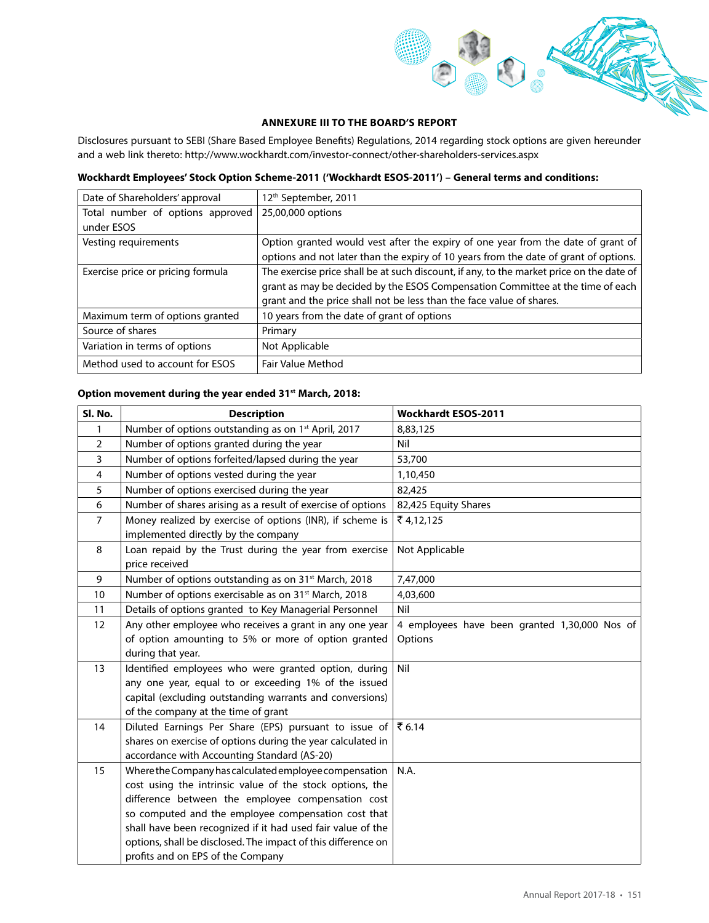

## **ANNEXURE III TO THE BOARD'S REPORT**

Disclosures pursuant to SEBI (Share Based Employee Benefits) Regulations, 2014 regarding stock options are given hereunder and a web link thereto: http://www.wockhardt.com/investor-connect/other-shareholders-services.aspx

## **Wockhardt Employees' Stock Option Scheme-2011 ('Wockhardt ESOS-2011') – General terms and conditions:**

| Date of Shareholders' approval    | 12 <sup>th</sup> September, 2011                                                         |
|-----------------------------------|------------------------------------------------------------------------------------------|
| Total number of options approved  | 25,00,000 options                                                                        |
| under ESOS                        |                                                                                          |
| Vesting requirements              | Option granted would vest after the expiry of one year from the date of grant of         |
|                                   | options and not later than the expiry of 10 years from the date of grant of options.     |
| Exercise price or pricing formula | The exercise price shall be at such discount, if any, to the market price on the date of |
|                                   | grant as may be decided by the ESOS Compensation Committee at the time of each           |
|                                   | grant and the price shall not be less than the face value of shares.                     |
| Maximum term of options granted   | 10 years from the date of grant of options                                               |
| Source of shares                  | Primary                                                                                  |
| Variation in terms of options     | Not Applicable                                                                           |
| Method used to account for ESOS   | Fair Value Method                                                                        |

## **Option movement during the year ended 31st March, 2018:**

| Sl. No.        | <b>Description</b>                                                                                            | <b>Wockhardt ESOS-2011</b>                    |
|----------------|---------------------------------------------------------------------------------------------------------------|-----------------------------------------------|
| 1              | Number of options outstanding as on 1 <sup>st</sup> April, 2017                                               | 8,83,125                                      |
| $\overline{2}$ | Number of options granted during the year                                                                     | Nil                                           |
| 3              | Number of options forfeited/lapsed during the year                                                            | 53,700                                        |
| $\overline{4}$ | Number of options vested during the year                                                                      | 1,10,450                                      |
| 5              | Number of options exercised during the year                                                                   | 82,425                                        |
| 6              | Number of shares arising as a result of exercise of options                                                   | 82,425 Equity Shares                          |
| $\overline{7}$ | Money realized by exercise of options (INR), if scheme is<br>implemented directly by the company              | ₹4,12,125                                     |
| 8              | Loan repaid by the Trust during the year from exercise<br>price received                                      | Not Applicable                                |
| 9              | Number of options outstanding as on 31 <sup>st</sup> March, 2018                                              | 7,47,000                                      |
| 10             | Number of options exercisable as on 31 <sup>st</sup> March, 2018                                              | 4,03,600                                      |
| 11             | Details of options granted to Key Managerial Personnel                                                        | Nil                                           |
| 12             | Any other employee who receives a grant in any one year                                                       | 4 employees have been granted 1,30,000 Nos of |
|                | of option amounting to 5% or more of option granted                                                           | Options                                       |
|                | during that year.                                                                                             |                                               |
| 13             | Identified employees who were granted option, during                                                          | Nil                                           |
|                | any one year, equal to or exceeding 1% of the issued                                                          |                                               |
|                | capital (excluding outstanding warrants and conversions)                                                      |                                               |
|                | of the company at the time of grant                                                                           |                                               |
| 14             | Diluted Earnings Per Share (EPS) pursuant to issue of $\vert \bar{z}$ 6.14                                    |                                               |
|                | shares on exercise of options during the year calculated in                                                   |                                               |
|                | accordance with Accounting Standard (AS-20)                                                                   |                                               |
| 15             | Where the Company has calculated employee compensation                                                        | N.A.                                          |
|                | cost using the intrinsic value of the stock options, the<br>difference between the employee compensation cost |                                               |
|                | so computed and the employee compensation cost that                                                           |                                               |
|                | shall have been recognized if it had used fair value of the                                                   |                                               |
|                | options, shall be disclosed. The impact of this difference on                                                 |                                               |
|                | profits and on EPS of the Company                                                                             |                                               |